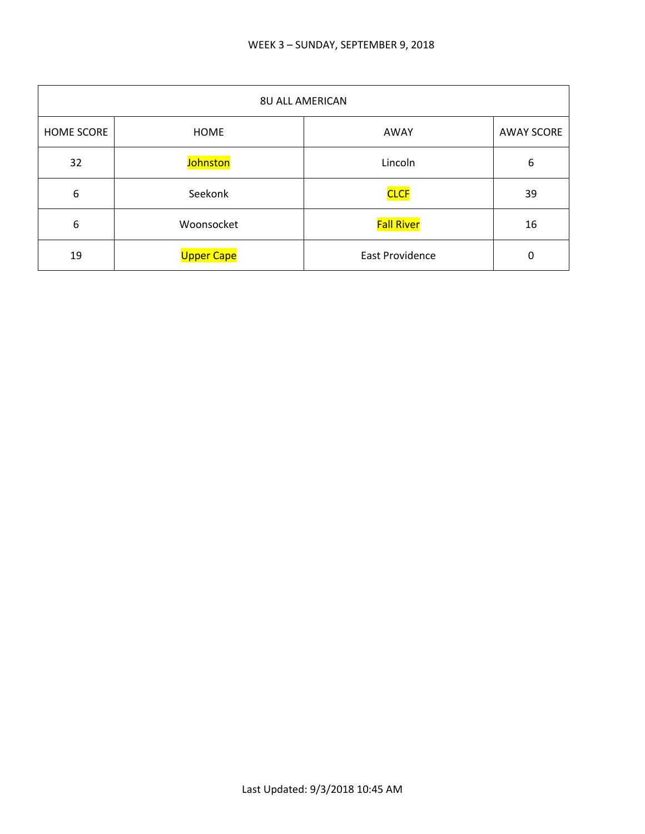| <b>8U ALL AMERICAN</b> |                   |                        |                   |
|------------------------|-------------------|------------------------|-------------------|
| <b>HOME SCORE</b>      | <b>HOME</b>       | AWAY                   | <b>AWAY SCORE</b> |
| 32                     | Johnston          | Lincoln                | 6                 |
| 6                      | Seekonk           | <b>CLCF</b>            | 39                |
| 6                      | Woonsocket        | <b>Fall River</b>      | 16                |
| 19                     | <b>Upper Cape</b> | <b>East Providence</b> | 0                 |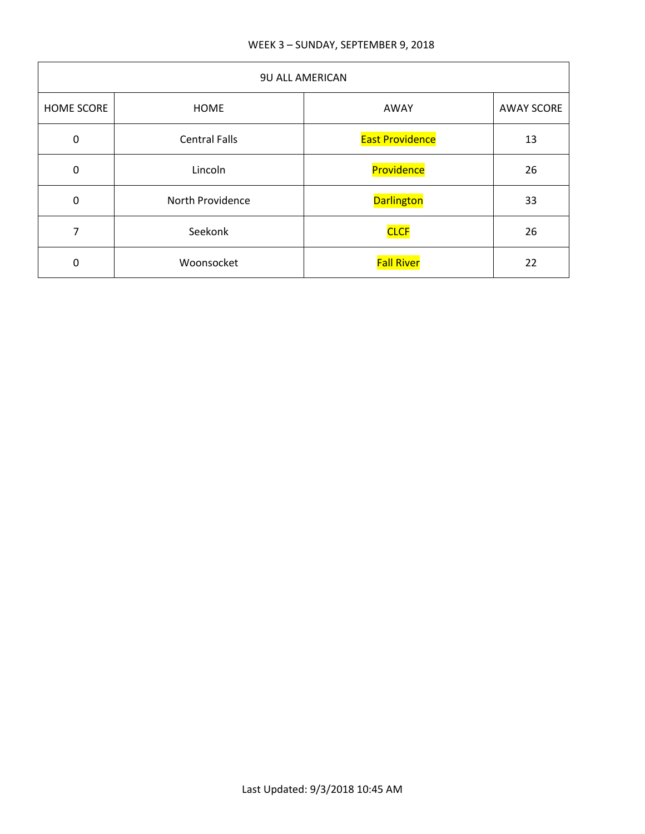## WEEK 3 – SUNDAY, SEPTEMBER 9, 2018

| 9U ALL AMERICAN   |                      |                        |                   |
|-------------------|----------------------|------------------------|-------------------|
| <b>HOME SCORE</b> | <b>HOME</b>          | AWAY                   | <b>AWAY SCORE</b> |
| $\mathbf 0$       | <b>Central Falls</b> | <b>East Providence</b> | 13                |
| 0                 | Lincoln              | Providence             | 26                |
| $\mathbf 0$       | North Providence     | <b>Darlington</b>      | 33                |
| 7                 | Seekonk              | <b>CLCF</b>            | 26                |
| 0                 | Woonsocket           | <b>Fall River</b>      | 22                |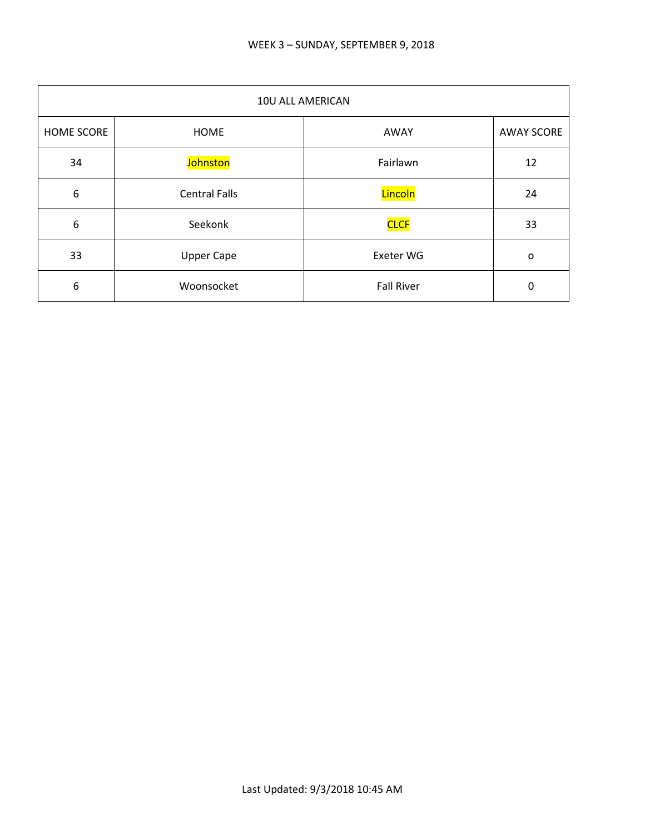| 10U ALL AMERICAN  |                      |                   |                   |
|-------------------|----------------------|-------------------|-------------------|
| <b>HOME SCORE</b> | HOME                 | AWAY              | <b>AWAY SCORE</b> |
| 34                | Johnston             | Fairlawn          | 12                |
| 6                 | <b>Central Falls</b> | Lincoln           | 24                |
| 6                 | Seekonk              | <b>CLCF</b>       | 33                |
| 33                | <b>Upper Cape</b>    | Exeter WG         | o                 |
| 6                 | Woonsocket           | <b>Fall River</b> | 0                 |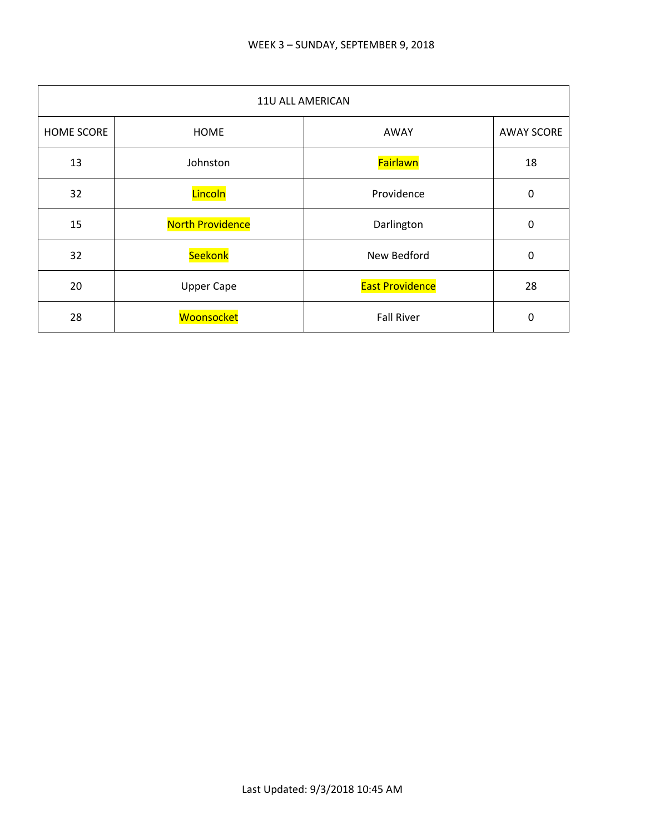| 11U ALL AMERICAN |                         |                        |                   |
|------------------|-------------------------|------------------------|-------------------|
| HOME SCORE       | <b>HOME</b>             | AWAY                   | <b>AWAY SCORE</b> |
| 13               | Johnston                | <b>Fairlawn</b>        | 18                |
| 32               | Lincoln                 | Providence             | 0                 |
| 15               | <b>North Providence</b> | Darlington             | $\mathbf 0$       |
| 32               | Seekonk                 | New Bedford            | 0                 |
| 20               | <b>Upper Cape</b>       | <b>East Providence</b> | 28                |
| 28               | Woonsocket              | <b>Fall River</b>      | 0                 |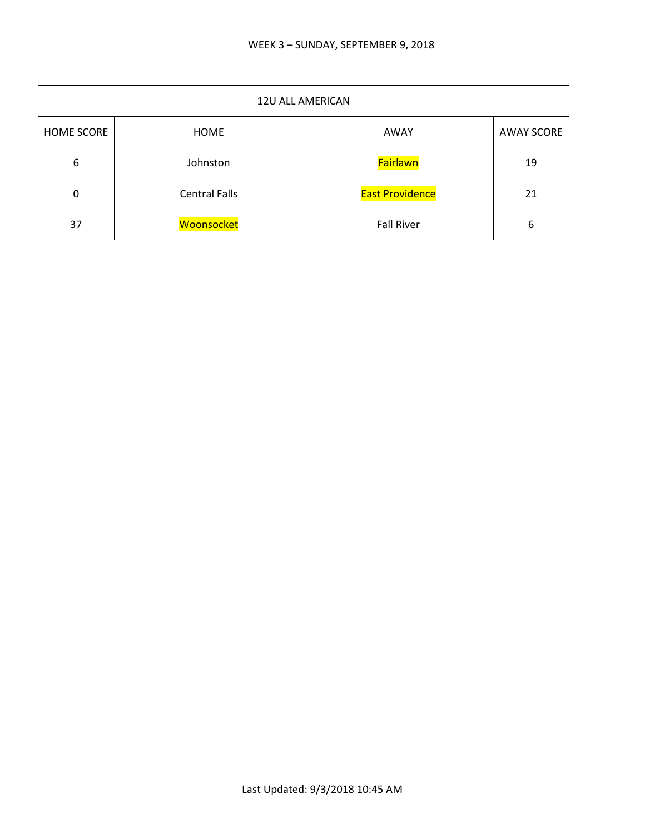| <b>12U ALL AMERICAN</b> |                      |                        |                   |
|-------------------------|----------------------|------------------------|-------------------|
| <b>HOME SCORE</b>       | HOME                 | AWAY                   | <b>AWAY SCORE</b> |
| 6                       | Johnston             | Fairlawn               | 19                |
| $\Omega$                | <b>Central Falls</b> | <b>East Providence</b> | 21                |
| 37                      | Woonsocket           | <b>Fall River</b>      | 6                 |